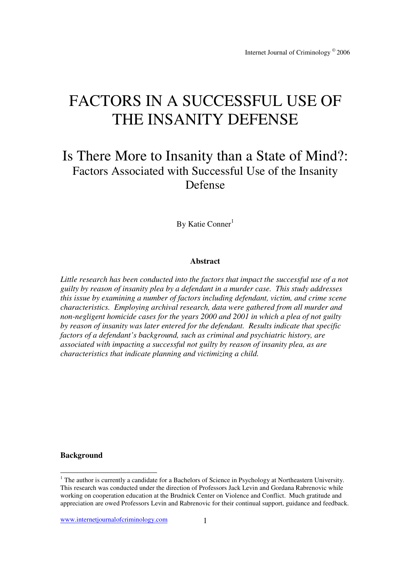# FACTORS IN A SUCCESSFUL USE OF THE INSANITY DEFENSE

# Is There More to Insanity than a State of Mind?: Factors Associated with Successful Use of the Insanity Defense

By Katie Conner<sup>1</sup>

#### **Abstract**

*Little research has been conducted into the factors that impact the successful use of a not guilty by reason of insanity plea by a defendant in a murder case. This study addresses this issue by examining a number of factors including defendant, victim, and crime scene characteristics. Employing archival research, data were gathered from all murder and non-negligent homicide cases for the years 2000 and 2001 in which a plea of not guilty by reason of insanity was later entered for the defendant. Results indicate that specific factors of a defendant's background, such as criminal and psychiatric history, are associated with impacting a successful not guilty by reason of insanity plea, as are characteristics that indicate planning and victimizing a child.* 

## **Background**

www.internetjournalofcriminology.com 1

The author is currently a candidate for a Bachelors of Science in Psychology at Northeastern University. This research was conducted under the direction of Professors Jack Levin and Gordana Rabrenovic while working on cooperation education at the Brudnick Center on Violence and Conflict. Much gratitude and appreciation are owed Professors Levin and Rabrenovic for their continual support, guidance and feedback.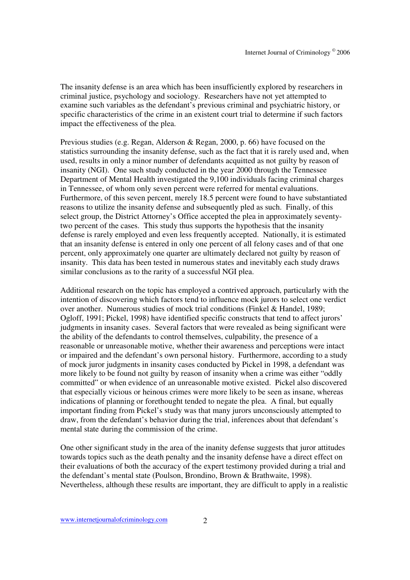The insanity defense is an area which has been insufficiently explored by researchers in criminal justice, psychology and sociology. Researchers have not yet attempted to examine such variables as the defendant's previous criminal and psychiatric history, or specific characteristics of the crime in an existent court trial to determine if such factors impact the effectiveness of the plea.

Previous studies (e.g. Regan, Alderson & Regan, 2000, p. 66) have focused on the statistics surrounding the insanity defense, such as the fact that it is rarely used and, when used, results in only a minor number of defendants acquitted as not guilty by reason of insanity (NGI). One such study conducted in the year 2000 through the Tennessee Department of Mental Health investigated the 9,100 individuals facing criminal charges in Tennessee, of whom only seven percent were referred for mental evaluations. Furthermore, of this seven percent, merely 18.5 percent were found to have substantiated reasons to utilize the insanity defense and subsequently pled as such. Finally, of this select group, the District Attorney's Office accepted the plea in approximately seventytwo percent of the cases. This study thus supports the hypothesis that the insanity defense is rarely employed and even less frequently accepted. Nationally, it is estimated that an insanity defense is entered in only one percent of all felony cases and of that one percent, only approximately one quarter are ultimately declared not guilty by reason of insanity. This data has been tested in numerous states and inevitably each study draws similar conclusions as to the rarity of a successful NGI plea.

Additional research on the topic has employed a contrived approach, particularly with the intention of discovering which factors tend to influence mock jurors to select one verdict over another. Numerous studies of mock trial conditions (Finkel & Handel, 1989; Ogloff, 1991; Pickel, 1998) have identified specific constructs that tend to affect jurors' judgments in insanity cases. Several factors that were revealed as being significant were the ability of the defendants to control themselves, culpability, the presence of a reasonable or unreasonable motive, whether their awareness and perceptions were intact or impaired and the defendant's own personal history. Furthermore, according to a study of mock juror judgments in insanity cases conducted by Pickel in 1998, a defendant was more likely to be found not guilty by reason of insanity when a crime was either "oddly committed" or when evidence of an unreasonable motive existed. Pickel also discovered that especially vicious or heinous crimes were more likely to be seen as insane, whereas indications of planning or forethought tended to negate the plea. A final, but equally important finding from Pickel's study was that many jurors unconsciously attempted to draw, from the defendant's behavior during the trial, inferences about that defendant's mental state during the commission of the crime.

One other significant study in the area of the inanity defense suggests that juror attitudes towards topics such as the death penalty and the insanity defense have a direct effect on their evaluations of both the accuracy of the expert testimony provided during a trial and the defendant's mental state (Poulson, Brondino, Brown & Brathwaite, 1998). Nevertheless, although these results are important, they are difficult to apply in a realistic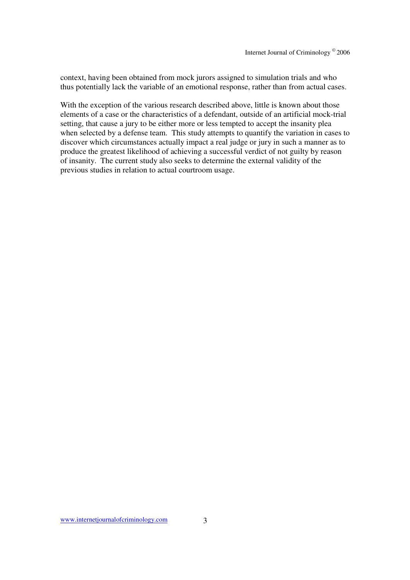context, having been obtained from mock jurors assigned to simulation trials and who thus potentially lack the variable of an emotional response, rather than from actual cases.

With the exception of the various research described above, little is known about those elements of a case or the characteristics of a defendant, outside of an artificial mock-trial setting, that cause a jury to be either more or less tempted to accept the insanity plea when selected by a defense team. This study attempts to quantify the variation in cases to discover which circumstances actually impact a real judge or jury in such a manner as to produce the greatest likelihood of achieving a successful verdict of not guilty by reason of insanity. The current study also seeks to determine the external validity of the previous studies in relation to actual courtroom usage.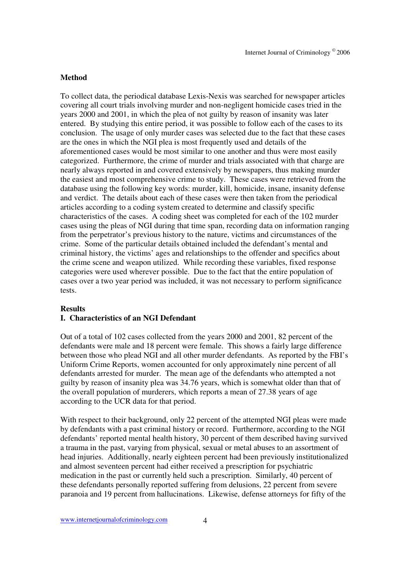# **Method**

To collect data, the periodical database Lexis-Nexis was searched for newspaper articles covering all court trials involving murder and non-negligent homicide cases tried in the years 2000 and 2001, in which the plea of not guilty by reason of insanity was later entered. By studying this entire period, it was possible to follow each of the cases to its conclusion. The usage of only murder cases was selected due to the fact that these cases are the ones in which the NGI plea is most frequently used and details of the aforementioned cases would be most similar to one another and thus were most easily categorized. Furthermore, the crime of murder and trials associated with that charge are nearly always reported in and covered extensively by newspapers, thus making murder the easiest and most comprehensive crime to study. These cases were retrieved from the database using the following key words: murder, kill, homicide, insane, insanity defense and verdict. The details about each of these cases were then taken from the periodical articles according to a coding system created to determine and classify specific characteristics of the cases. A coding sheet was completed for each of the 102 murder cases using the pleas of NGI during that time span, recording data on information ranging from the perpetrator's previous history to the nature, victims and circumstances of the crime. Some of the particular details obtained included the defendant's mental and criminal history, the victims' ages and relationships to the offender and specifics about the crime scene and weapon utilized. While recording these variables, fixed response categories were used wherever possible. Due to the fact that the entire population of cases over a two year period was included, it was not necessary to perform significance tests.

#### **Results**

# **I. Characteristics of an NGI Defendant**

Out of a total of 102 cases collected from the years 2000 and 2001, 82 percent of the defendants were male and 18 percent were female. This shows a fairly large difference between those who plead NGI and all other murder defendants. As reported by the FBI's Uniform Crime Reports, women accounted for only approximately nine percent of all defendants arrested for murder. The mean age of the defendants who attempted a not guilty by reason of insanity plea was 34.76 years, which is somewhat older than that of the overall population of murderers, which reports a mean of 27.38 years of age according to the UCR data for that period.

With respect to their background, only 22 percent of the attempted NGI pleas were made by defendants with a past criminal history or record. Furthermore, according to the NGI defendants' reported mental health history, 30 percent of them described having survived a trauma in the past, varying from physical, sexual or metal abuses to an assortment of head injuries. Additionally, nearly eighteen percent had been previously institutionalized and almost seventeen percent had either received a prescription for psychiatric medication in the past or currently held such a prescription. Similarly, 40 percent of these defendants personally reported suffering from delusions, 22 percent from severe paranoia and 19 percent from hallucinations. Likewise, defense attorneys for fifty of the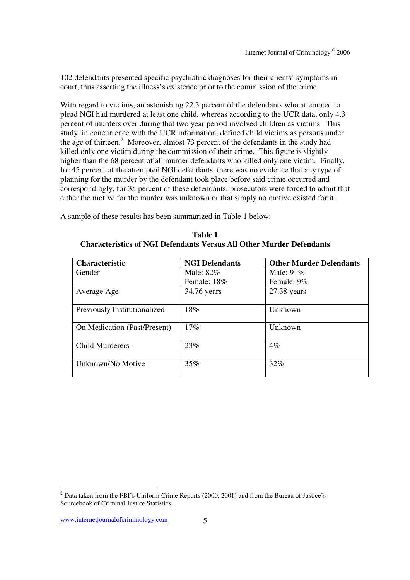102 defendants presented specific psychiatric diagnoses for their clients' symptoms in court, thus asserting the illness's existence prior to the commission of the crime.

With regard to victims, an astonishing 22.5 percent of the defendants who attempted to plead NGI had murdered at least one child, whereas according to the UCR data, only 4.3 percent of murders over during that two year period involved children as victims. This study, in concurrence with the UCR information, defined child victims as persons under the age of thirteen.<sup>2</sup> Moreover, almost 73 percent of the defendants in the study had killed only one victim during the commission of their crime. This figure is slightly higher than the 68 percent of all murder defendants who killed only one victim. Finally, for 45 percent of the attempted NGI defendants, there was no evidence that any type of planning for the murder by the defendant took place before said crime occurred and correspondingly, for 35 percent of these defendants, prosecutors were forced to admit that either the motive for the murder was unknown or that simply no motive existed for it.

A sample of these results has been summarized in Table 1 below:

| <b>Characteristic</b>        | <b>NGI Defendants</b> | <b>Other Murder Defendants</b> |
|------------------------------|-----------------------|--------------------------------|
| Gender                       | Male: 82%             | Male: $91\%$                   |
|                              | Female: 18%           | Female: 9%                     |
| Average Age                  | 34.76 years           | $27.38$ years                  |
|                              |                       |                                |
| Previously Institutionalized | 18%                   | Unknown                        |
|                              |                       |                                |
| On Medication (Past/Present) | 17%                   | Unknown                        |
|                              |                       |                                |
| <b>Child Murderers</b>       | 23%                   | $4\%$                          |
|                              |                       |                                |
| Unknown/No Motive            | 35%                   | 32%                            |
|                              |                       |                                |

**Table 1 Characteristics of NGI Defendants Versus All Other Murder Defendants** 

<sup>&</sup>lt;sup>2</sup> Data taken from the FBI's Uniform Crime Reports (2000, 2001) and from the Bureau of Justice's Sourcebook of Criminal Justice Statistics.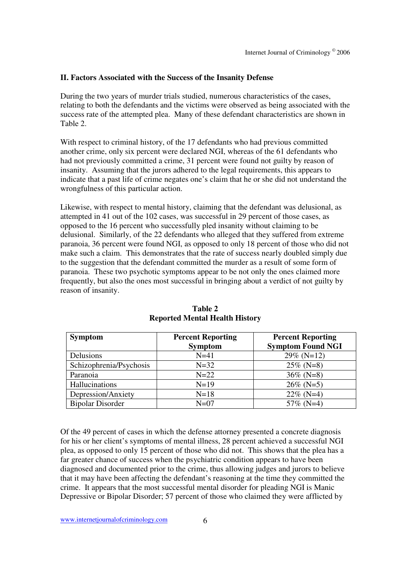# **II. Factors Associated with the Success of the Insanity Defense**

During the two years of murder trials studied, numerous characteristics of the cases, relating to both the defendants and the victims were observed as being associated with the success rate of the attempted plea. Many of these defendant characteristics are shown in Table 2.

With respect to criminal history, of the 17 defendants who had previous committed another crime, only six percent were declared NGI, whereas of the 61 defendants who had not previously committed a crime, 31 percent were found not guilty by reason of insanity. Assuming that the jurors adhered to the legal requirements, this appears to indicate that a past life of crime negates one's claim that he or she did not understand the wrongfulness of this particular action.

Likewise, with respect to mental history, claiming that the defendant was delusional, as attempted in 41 out of the 102 cases, was successful in 29 percent of those cases, as opposed to the 16 percent who successfully pled insanity without claiming to be delusional. Similarly, of the 22 defendants who alleged that they suffered from extreme paranoia, 36 percent were found NGI, as opposed to only 18 percent of those who did not make such a claim. This demonstrates that the rate of success nearly doubled simply due to the suggestion that the defendant committed the murder as a result of some form of paranoia. These two psychotic symptoms appear to be not only the ones claimed more frequently, but also the ones most successful in bringing about a verdict of not guilty by reason of insanity.

| <b>Symptom</b>          | <b>Percent Reporting</b> | <b>Percent Reporting</b> |
|-------------------------|--------------------------|--------------------------|
|                         | <b>Symptom</b>           | <b>Symptom Found NGI</b> |
| Delusions               | $N=41$                   | $29\%$ (N=12)            |
| Schizophrenia/Psychosis | $N=32$                   | $25\%$ (N=8)             |
| Paranoia                | $N=22$                   | $36\%$ (N=8)             |
| Hallucinations          | $N=19$                   | $26\%$ (N=5)             |
| Depression/Anxiety      | $N=18$                   | $22\%$ (N=4)             |
| <b>Bipolar Disorder</b> | $N=07$                   | 57\% (N=4)               |

**Table 2 Reported Mental Health History** 

Of the 49 percent of cases in which the defense attorney presented a concrete diagnosis for his or her client's symptoms of mental illness, 28 percent achieved a successful NGI plea, as opposed to only 15 percent of those who did not. This shows that the plea has a far greater chance of success when the psychiatric condition appears to have been diagnosed and documented prior to the crime, thus allowing judges and jurors to believe that it may have been affecting the defendant's reasoning at the time they committed the crime. It appears that the most successful mental disorder for pleading NGI is Manic Depressive or Bipolar Disorder; 57 percent of those who claimed they were afflicted by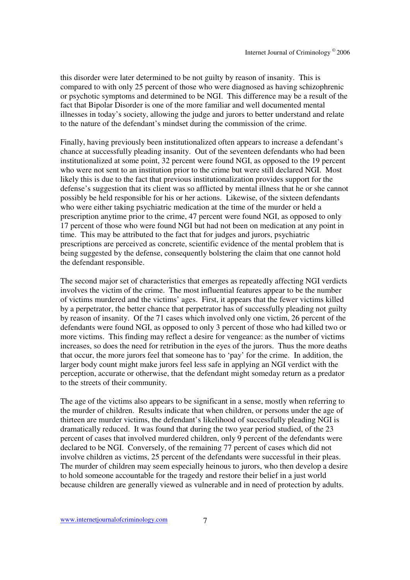this disorder were later determined to be not guilty by reason of insanity. This is compared to with only 25 percent of those who were diagnosed as having schizophrenic or psychotic symptoms and determined to be NGI. This difference may be a result of the fact that Bipolar Disorder is one of the more familiar and well documented mental illnesses in today's society, allowing the judge and jurors to better understand and relate to the nature of the defendant's mindset during the commission of the crime.

Finally, having previously been institutionalized often appears to increase a defendant's chance at successfully pleading insanity. Out of the seventeen defendants who had been institutionalized at some point, 32 percent were found NGI, as opposed to the 19 percent who were not sent to an institution prior to the crime but were still declared NGI. Most likely this is due to the fact that previous institutionalization provides support for the defense's suggestion that its client was so afflicted by mental illness that he or she cannot possibly be held responsible for his or her actions. Likewise, of the sixteen defendants who were either taking psychiatric medication at the time of the murder or held a prescription anytime prior to the crime, 47 percent were found NGI, as opposed to only 17 percent of those who were found NGI but had not been on medication at any point in time. This may be attributed to the fact that for judges and jurors, psychiatric prescriptions are perceived as concrete, scientific evidence of the mental problem that is being suggested by the defense, consequently bolstering the claim that one cannot hold the defendant responsible.

The second major set of characteristics that emerges as repeatedly affecting NGI verdicts involves the victim of the crime. The most influential features appear to be the number of victims murdered and the victims' ages. First, it appears that the fewer victims killed by a perpetrator, the better chance that perpetrator has of successfully pleading not guilty by reason of insanity. Of the 71 cases which involved only one victim, 26 percent of the defendants were found NGI, as opposed to only 3 percent of those who had killed two or more victims. This finding may reflect a desire for vengeance: as the number of victims increases, so does the need for retribution in the eyes of the jurors. Thus the more deaths that occur, the more jurors feel that someone has to 'pay' for the crime. In addition, the larger body count might make jurors feel less safe in applying an NGI verdict with the perception, accurate or otherwise, that the defendant might someday return as a predator to the streets of their community.

The age of the victims also appears to be significant in a sense, mostly when referring to the murder of children. Results indicate that when children, or persons under the age of thirteen are murder victims, the defendant's likelihood of successfully pleading NGI is dramatically reduced. It was found that during the two year period studied, of the 23 percent of cases that involved murdered children, only 9 percent of the defendants were declared to be NGI. Conversely, of the remaining 77 percent of cases which did not involve children as victims, 25 percent of the defendants were successful in their pleas. The murder of children may seem especially heinous to jurors, who then develop a desire to hold someone accountable for the tragedy and restore their belief in a just world because children are generally viewed as vulnerable and in need of protection by adults.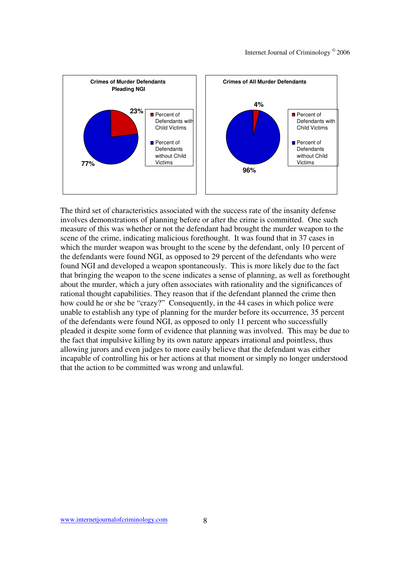

The third set of characteristics associated with the success rate of the insanity defense involves demonstrations of planning before or after the crime is committed. One such measure of this was whether or not the defendant had brought the murder weapon to the scene of the crime, indicating malicious forethought. It was found that in 37 cases in which the murder weapon was brought to the scene by the defendant, only 10 percent of the defendants were found NGI, as opposed to 29 percent of the defendants who were found NGI and developed a weapon spontaneously. This is more likely due to the fact that bringing the weapon to the scene indicates a sense of planning, as well as forethought about the murder, which a jury often associates with rationality and the significances of rational thought capabilities. They reason that if the defendant planned the crime then how could he or she be "crazy?" Consequently, in the 44 cases in which police were unable to establish any type of planning for the murder before its occurrence, 35 percent of the defendants were found NGI, as opposed to only 11 percent who successfully pleaded it despite some form of evidence that planning was involved. This may be due to the fact that impulsive killing by its own nature appears irrational and pointless, thus allowing jurors and even judges to more easily believe that the defendant was either incapable of controlling his or her actions at that moment or simply no longer understood that the action to be committed was wrong and unlawful.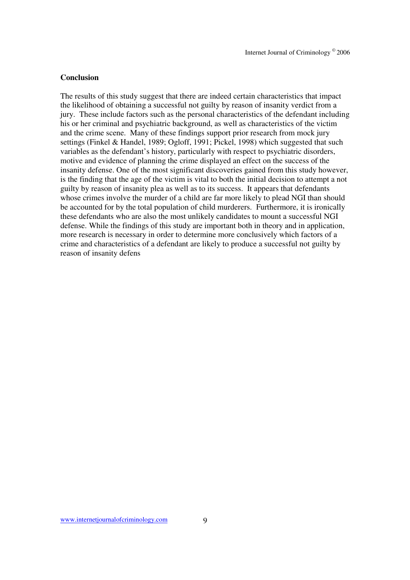#### **Conclusion**

The results of this study suggest that there are indeed certain characteristics that impact the likelihood of obtaining a successful not guilty by reason of insanity verdict from a jury. These include factors such as the personal characteristics of the defendant including his or her criminal and psychiatric background, as well as characteristics of the victim and the crime scene. Many of these findings support prior research from mock jury settings (Finkel & Handel, 1989; Ogloff, 1991; Pickel, 1998) which suggested that such variables as the defendant's history, particularly with respect to psychiatric disorders, motive and evidence of planning the crime displayed an effect on the success of the insanity defense. One of the most significant discoveries gained from this study however, is the finding that the age of the victim is vital to both the initial decision to attempt a not guilty by reason of insanity plea as well as to its success. It appears that defendants whose crimes involve the murder of a child are far more likely to plead NGI than should be accounted for by the total population of child murderers. Furthermore, it is ironically these defendants who are also the most unlikely candidates to mount a successful NGI defense. While the findings of this study are important both in theory and in application, more research is necessary in order to determine more conclusively which factors of a crime and characteristics of a defendant are likely to produce a successful not guilty by reason of insanity defens